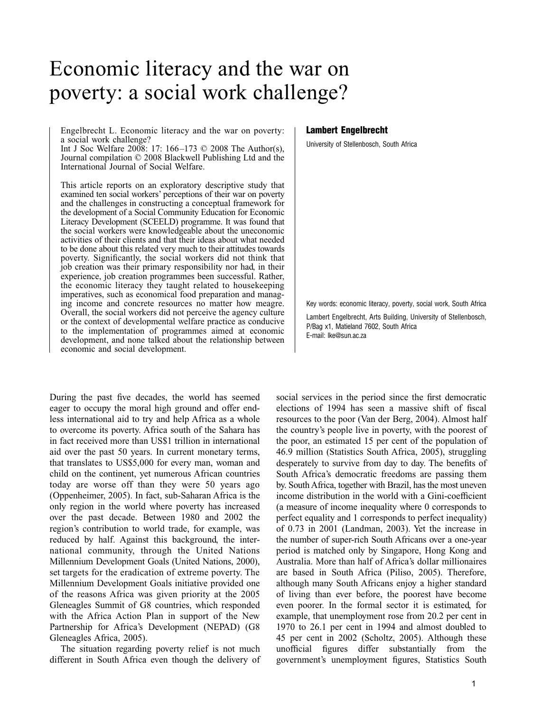# Economic literacy and the war on poverty: a social work challenge?

Engelbrecht L. Economic literacy and the war on poverty: a social work challenge?

Int J Soc Welfare 2008: 17: 166–173 © 2008 The Author(s), Journal compilation © 2008 Blackwell Publishing Ltd and the International Journal of Social Welfare.

This article reports on an exploratory descriptive study that examined ten social workers' perceptions of their war on poverty and the challenges in constructing a conceptual framework for the development of a Social Community Education for Economic Literacy Development (SCEELD) programme. It was found that the social workers were knowledgeable about the uneconomic activities of their clients and that their ideas about what needed to be done about this related very much to their attitudes towards poverty. Significantly, the social workers did not think that job creation was their primary responsibility nor had, in their experience, job creation programmes been successful. Rather, the economic literacy they taught related to housekeeping imperatives, such as economical food preparation and managing income and concrete resources no matter how meagre. Overall, the social workers did not perceive the agency culture or the context of developmental welfare practice as conducive to the implementation of programmes aimed at economic development, and none talked about the relationship between economic and social development.

During the past five decades, the world has seemed eager to occupy the moral high ground and offer endless international aid to try and help Africa as a whole to overcome its poverty. Africa south of the Sahara has in fact received more than US\$1 trillion in international aid over the past 50 years. In current monetary terms, that translates to US\$5,000 for every man, woman and child on the continent, yet numerous African countries today are worse off than they were 50 years ago (Oppenheimer, 2005). In fact, sub-Saharan Africa is the only region in the world where poverty has increased over the past decade. Between 1980 and 2002 the region's contribution to world trade, for example, was reduced by half. Against this background, the international community, through the United Nations Millennium Development Goals (United Nations, 2000), set targets for the eradication of extreme poverty. The Millennium Development Goals initiative provided one of the reasons Africa was given priority at the 2005 Gleneagles Summit of G8 countries, which responded with the Africa Action Plan in support of the New Partnership for Africa's Development (NEPAD) (G8 Gleneagles Africa, 2005).

The situation regarding poverty relief is not much different in South Africa even though the delivery of

#### **Lambert Engelbrecht**

University of Stellenbosch, South Africa

Key words: economic literacy, poverty, social work, South Africa

Lambert Engelbrecht, Arts Building, University of Stellenbosch, P/Bag x1, Matieland 7602, South Africa E-mail: lke@sun.ac.za

social services in the period since the first democratic elections of 1994 has seen a massive shift of fiscal resources to the poor (Van der Berg, 2004). Almost half the country's people live in poverty, with the poorest of the poor, an estimated 15 per cent of the population of 46.9 million (Statistics South Africa, 2005), struggling desperately to survive from day to day. The benefits of South Africa's democratic freedoms are passing them by. South Africa, together with Brazil, has the most uneven income distribution in the world with a Gini-coefficient (a measure of income inequality where 0 corresponds to perfect equality and 1 corresponds to perfect inequality) of 0.73 in 2001 (Landman, 2003). Yet the increase in the number of super-rich South Africans over a one-year period is matched only by Singapore, Hong Kong and Australia. More than half of Africa's dollar millionaires are based in South Africa (Piliso, 2005). Therefore, although many South Africans enjoy a higher standard of living than ever before, the poorest have become even poorer. In the formal sector it is estimated, for example, that unemployment rose from 20.2 per cent in 1970 to 26.1 per cent in 1994 and almost doubled to 45 per cent in 2002 (Scholtz, 2005). Although these unofficial figures differ substantially from the government's unemployment figures, Statistics South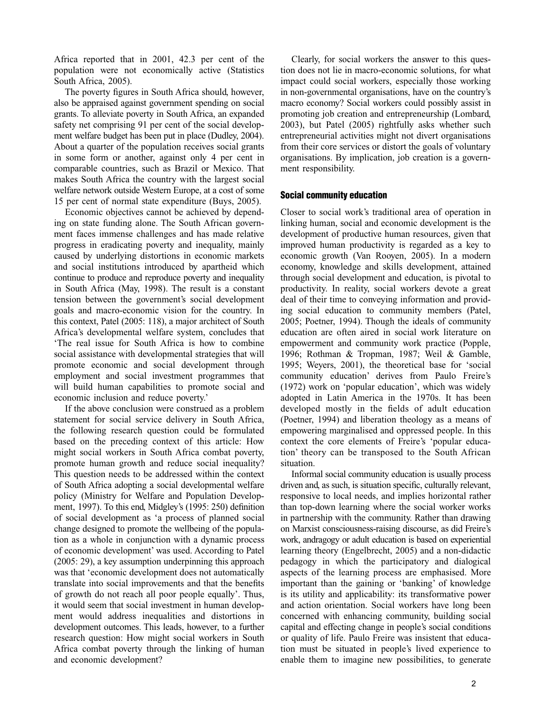Africa reported that in 2001, 42.3 per cent of the population were not economically active (Statistics South Africa, 2005).

The poverty figures in South Africa should, however, also be appraised against government spending on social grants. To alleviate poverty in South Africa, an expanded safety net comprising 91 per cent of the social development welfare budget has been put in place (Dudley, 2004). About a quarter of the population receives social grants in some form or another, against only 4 per cent in comparable countries, such as Brazil or Mexico. That makes South Africa the country with the largest social welfare network outside Western Europe, at a cost of some 15 per cent of normal state expenditure (Buys, 2005).

Economic objectives cannot be achieved by depending on state funding alone. The South African government faces immense challenges and has made relative progress in eradicating poverty and inequality, mainly caused by underlying distortions in economic markets and social institutions introduced by apartheid which continue to produce and reproduce poverty and inequality in South Africa (May, 1998). The result is a constant tension between the government's social development goals and macro-economic vision for the country. In this context, Patel (2005: 118), a major architect of South Africa's developmental welfare system, concludes that 'The real issue for South Africa is how to combine social assistance with developmental strategies that will promote economic and social development through employment and social investment programmes that will build human capabilities to promote social and economic inclusion and reduce poverty.'

If the above conclusion were construed as a problem statement for social service delivery in South Africa, the following research question could be formulated based on the preceding context of this article: How might social workers in South Africa combat poverty, promote human growth and reduce social inequality? This question needs to be addressed within the context of South Africa adopting a social developmental welfare policy (Ministry for Welfare and Population Development, 1997). To this end, Midgley's (1995: 250) definition of social development as 'a process of planned social change designed to promote the wellbeing of the population as a whole in conjunction with a dynamic process of economic development' was used. According to Patel (2005: 29), a key assumption underpinning this approach was that 'economic development does not automatically translate into social improvements and that the benefits of growth do not reach all poor people equally'. Thus, it would seem that social investment in human development would address inequalities and distortions in development outcomes. This leads, however, to a further research question: How might social workers in South Africa combat poverty through the linking of human and economic development?

Clearly, for social workers the answer to this question does not lie in macro-economic solutions, for what impact could social workers, especially those working in non-governmental organisations, have on the country's macro economy? Social workers could possibly assist in promoting job creation and entrepreneurship (Lombard, 2003), but Patel (2005) rightfully asks whether such entrepreneurial activities might not divert organisations from their core services or distort the goals of voluntary organisations. By implication, job creation is a government responsibility.

#### **Social community education**

Closer to social work's traditional area of operation in linking human, social and economic development is the development of productive human resources, given that improved human productivity is regarded as a key to economic growth (Van Rooyen, 2005). In a modern economy, knowledge and skills development, attained through social development and education, is pivotal to productivity. In reality, social workers devote a great deal of their time to conveying information and providing social education to community members (Patel, 2005; Poetner, 1994). Though the ideals of community education are often aired in social work literature on empowerment and community work practice (Popple, 1996; Rothman & Tropman, 1987; Weil & Gamble, 1995; Weyers, 2001), the theoretical base for 'social community education' derives from Paulo Freire's (1972) work on 'popular education', which was widely adopted in Latin America in the 1970s. It has been developed mostly in the fields of adult education (Poetner, 1994) and liberation theology as a means of empowering marginalised and oppressed people. In this context the core elements of Freire's 'popular education' theory can be transposed to the South African situation.

Informal social community education is usually process driven and, as such, is situation specific, culturally relevant, responsive to local needs, and implies horizontal rather than top-down learning where the social worker works in partnership with the community. Rather than drawing on Marxist consciousness-raising discourse, as did Freire's work, andragogy or adult education is based on experiential learning theory (Engelbrecht, 2005) and a non-didactic pedagogy in which the participatory and dialogical aspects of the learning process are emphasised. More important than the gaining or 'banking' of knowledge is its utility and applicability: its transformative power and action orientation. Social workers have long been concerned with enhancing community, building social capital and effecting change in people's social conditions or quality of life. Paulo Freire was insistent that education must be situated in people's lived experience to enable them to imagine new possibilities, to generate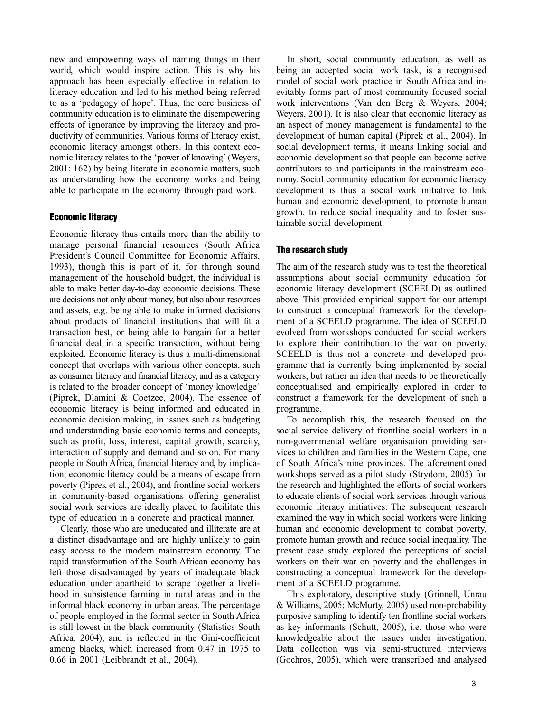new and empowering ways of naming things in their world, which would inspire action. This is why his approach has been especially effective in relation to literacy education and led to his method being referred to as a 'pedagogy of hope'. Thus, the core business of community education is to eliminate the disempowering effects of ignorance by improving the literacy and productivity of communities. Various forms of literacy exist, economic literacy amongst others. In this context economic literacy relates to the 'power of knowing' (Weyers, 2001: 162) by being literate in economic matters, such as understanding how the economy works and being able to participate in the economy through paid work.

#### **Economic literacy**

Economic literacy thus entails more than the ability to manage personal financial resources (South Africa President's Council Committee for Economic Affairs, 1993), though this is part of it, for through sound management of the household budget, the individual is able to make better day-to-day economic decisions. These are decisions not only about money, but also about resources and assets, e.g. being able to make informed decisions about products of financial institutions that will fit a transaction best, or being able to bargain for a better financial deal in a specific transaction, without being exploited. Economic literacy is thus a multi-dimensional concept that overlaps with various other concepts, such as consumer literacy and financial literacy, and as a category is related to the broader concept of 'money knowledge' (Piprek, Dlamini & Coetzee, 2004). The essence of economic literacy is being informed and educated in economic decision making, in issues such as budgeting and understanding basic economic terms and concepts, such as profit, loss, interest, capital growth, scarcity, interaction of supply and demand and so on. For many people in South Africa, financial literacy and, by implication, economic literacy could be a means of escape from poverty (Piprek et al., 2004), and frontline social workers in community-based organisations offering generalist social work services are ideally placed to facilitate this type of education in a concrete and practical manner.

Clearly, those who are uneducated and illiterate are at a distinct disadvantage and are highly unlikely to gain easy access to the modern mainstream economy. The rapid transformation of the South African economy has left those disadvantaged by years of inadequate black education under apartheid to scrape together a livelihood in subsistence farming in rural areas and in the informal black economy in urban areas. The percentage of people employed in the formal sector in South Africa is still lowest in the black community (Statistics South Africa, 2004), and is reflected in the Gini-coefficient among blacks, which increased from 0.47 in 1975 to 0.66 in 2001 (Leibbrandt et al., 2004).

In short, social community education, as well as being an accepted social work task, is a recognised model of social work practice in South Africa and inevitably forms part of most community focused social work interventions (Van den Berg & Weyers, 2004; Weyers, 2001). It is also clear that economic literacy as an aspect of money management is fundamental to the development of human capital (Piprek et al., 2004). In social development terms, it means linking social and economic development so that people can become active contributors to and participants in the mainstream economy. Social community education for economic literacy development is thus a social work initiative to link human and economic development, to promote human growth, to reduce social inequality and to foster sustainable social development.

#### **The research study**

The aim of the research study was to test the theoretical assumptions about social community education for economic literacy development (SCEELD) as outlined above. This provided empirical support for our attempt to construct a conceptual framework for the development of a SCEELD programme. The idea of SCEELD evolved from workshops conducted for social workers to explore their contribution to the war on poverty. SCEELD is thus not a concrete and developed programme that is currently being implemented by social workers, but rather an idea that needs to be theoretically conceptualised and empirically explored in order to construct a framework for the development of such a programme.

To accomplish this, the research focused on the social service delivery of frontline social workers in a non-governmental welfare organisation providing services to children and families in the Western Cape, one of South Africa's nine provinces. The aforementioned workshops served as a pilot study (Strydom, 2005) for the research and highlighted the efforts of social workers to educate clients of social work services through various economic literacy initiatives. The subsequent research examined the way in which social workers were linking human and economic development to combat poverty, promote human growth and reduce social inequality. The present case study explored the perceptions of social workers on their war on poverty and the challenges in constructing a conceptual framework for the development of a SCEELD programme.

This exploratory, descriptive study (Grinnell, Unrau & Williams, 2005; McMurty, 2005) used non-probability purposive sampling to identify ten frontline social workers as key informants (Schutt, 2005), i.e. those who were knowledgeable about the issues under investigation. Data collection was via semi-structured interviews (Gochros, 2005), which were transcribed and analysed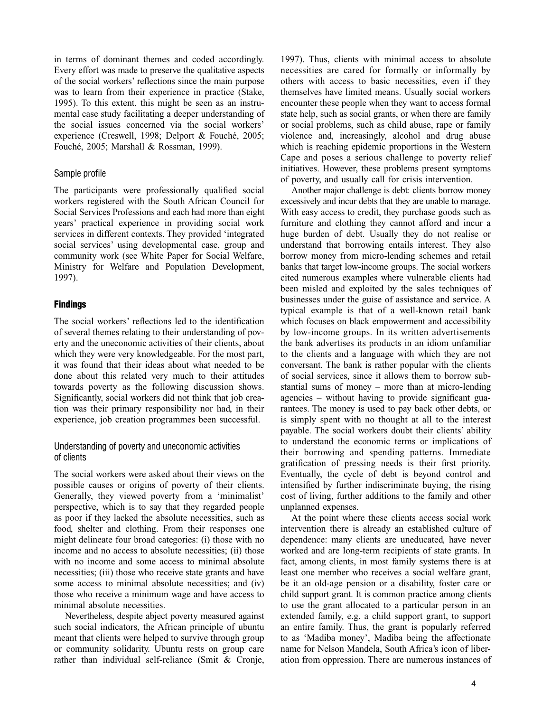in terms of dominant themes and coded accordingly. Every effort was made to preserve the qualitative aspects of the social workers' reflections since the main purpose was to learn from their experience in practice (Stake, 1995). To this extent, this might be seen as an instrumental case study facilitating a deeper understanding of the social issues concerned via the social workers' experience (Creswell, 1998; Delport & Fouché, 2005; Fouché, 2005; Marshall & Rossman, 1999).

#### Sample profile

The participants were professionally qualified social workers registered with the South African Council for Social Services Professions and each had more than eight years' practical experience in providing social work services in different contexts. They provided 'integrated social services' using developmental case, group and community work (see White Paper for Social Welfare, Ministry for Welfare and Population Development, 1997).

## **Findings**

The social workers' reflections led to the identification of several themes relating to their understanding of poverty and the uneconomic activities of their clients, about which they were very knowledgeable. For the most part, it was found that their ideas about what needed to be done about this related very much to their attitudes towards poverty as the following discussion shows. Significantly, social workers did not think that job creation was their primary responsibility nor had, in their experience, job creation programmes been successful.

## Understanding of poverty and uneconomic activities of clients

The social workers were asked about their views on the possible causes or origins of poverty of their clients. Generally, they viewed poverty from a 'minimalist' perspective, which is to say that they regarded people as poor if they lacked the absolute necessities, such as food, shelter and clothing. From their responses one might delineate four broad categories: (i) those with no income and no access to absolute necessities; (ii) those with no income and some access to minimal absolute necessities; (iii) those who receive state grants and have some access to minimal absolute necessities; and (iv) those who receive a minimum wage and have access to minimal absolute necessities.

Nevertheless, despite abject poverty measured against such social indicators, the African principle of ubuntu meant that clients were helped to survive through group or community solidarity. Ubuntu rests on group care rather than individual self-reliance (Smit & Cronje,

1997). Thus, clients with minimal access to absolute necessities are cared for formally or informally by others with access to basic necessities, even if they themselves have limited means. Usually social workers encounter these people when they want to access formal state help, such as social grants, or when there are family or social problems, such as child abuse, rape or family violence and, increasingly, alcohol and drug abuse which is reaching epidemic proportions in the Western Cape and poses a serious challenge to poverty relief initiatives. However, these problems present symptoms of poverty, and usually call for crisis intervention.

Another major challenge is debt: clients borrow money excessively and incur debts that they are unable to manage. With easy access to credit, they purchase goods such as furniture and clothing they cannot afford and incur a huge burden of debt. Usually they do not realise or understand that borrowing entails interest. They also borrow money from micro-lending schemes and retail banks that target low-income groups. The social workers cited numerous examples where vulnerable clients had been misled and exploited by the sales techniques of businesses under the guise of assistance and service. A typical example is that of a well-known retail bank which focuses on black empowerment and accessibility by low-income groups. In its written advertisements the bank advertises its products in an idiom unfamiliar to the clients and a language with which they are not conversant. The bank is rather popular with the clients of social services, since it allows them to borrow substantial sums of money – more than at micro-lending agencies – without having to provide significant guarantees. The money is used to pay back other debts, or is simply spent with no thought at all to the interest payable. The social workers doubt their clients' ability to understand the economic terms or implications of their borrowing and spending patterns. Immediate gratification of pressing needs is their first priority. Eventually, the cycle of debt is beyond control and intensified by further indiscriminate buying, the rising cost of living, further additions to the family and other unplanned expenses.

At the point where these clients access social work intervention there is already an established culture of dependence: many clients are uneducated, have never worked and are long-term recipients of state grants. In fact, among clients, in most family systems there is at least one member who receives a social welfare grant, be it an old-age pension or a disability, foster care or child support grant. It is common practice among clients to use the grant allocated to a particular person in an extended family, e.g. a child support grant, to support an entire family. Thus, the grant is popularly referred to as 'Madiba money', Madiba being the affectionate name for Nelson Mandela, South Africa's icon of liberation from oppression. There are numerous instances of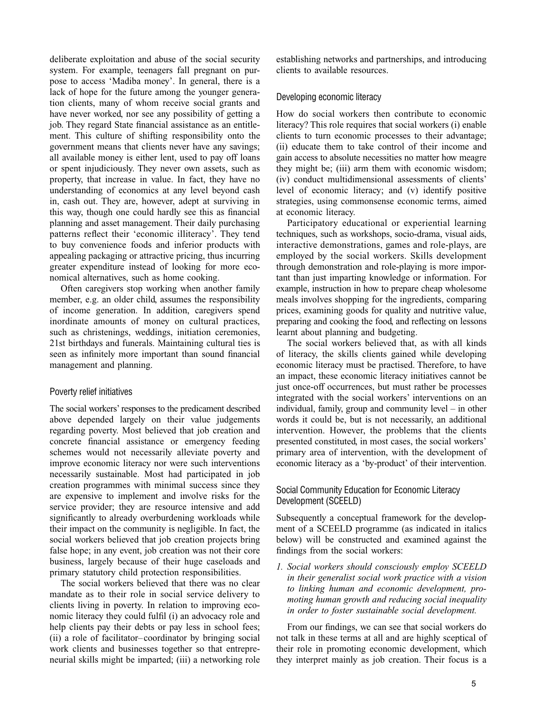deliberate exploitation and abuse of the social security system. For example, teenagers fall pregnant on purpose to access 'Madiba money'. In general, there is a lack of hope for the future among the younger generation clients, many of whom receive social grants and have never worked, nor see any possibility of getting a job. They regard State financial assistance as an entitlement. This culture of shifting responsibility onto the government means that clients never have any savings; all available money is either lent, used to pay off loans or spent injudiciously. They never own assets, such as property, that increase in value. In fact, they have no understanding of economics at any level beyond cash in, cash out. They are, however, adept at surviving in this way, though one could hardly see this as financial planning and asset management. Their daily purchasing patterns reflect their 'economic illiteracy'. They tend to buy convenience foods and inferior products with appealing packaging or attractive pricing, thus incurring greater expenditure instead of looking for more economical alternatives, such as home cooking.

Often caregivers stop working when another family member, e.g. an older child, assumes the responsibility of income generation. In addition, caregivers spend inordinate amounts of money on cultural practices, such as christenings, weddings, initiation ceremonies, 21st birthdays and funerals. Maintaining cultural ties is seen as infinitely more important than sound financial management and planning.

## Poverty relief initiatives

The social workers' responses to the predicament described above depended largely on their value judgements regarding poverty. Most believed that job creation and concrete financial assistance or emergency feeding schemes would not necessarily alleviate poverty and improve economic literacy nor were such interventions necessarily sustainable. Most had participated in job creation programmes with minimal success since they are expensive to implement and involve risks for the service provider; they are resource intensive and add significantly to already overburdening workloads while their impact on the community is negligible. In fact, the social workers believed that job creation projects bring false hope; in any event, job creation was not their core business, largely because of their huge caseloads and primary statutory child protection responsibilities.

The social workers believed that there was no clear mandate as to their role in social service delivery to clients living in poverty. In relation to improving economic literacy they could fulfil (i) an advocacy role and help clients pay their debts or pay less in school fees; (ii) a role of facilitator–coordinator by bringing social work clients and businesses together so that entrepreneurial skills might be imparted; (iii) a networking role establishing networks and partnerships, and introducing clients to available resources.

#### Developing economic literacy

How do social workers then contribute to economic literacy? This role requires that social workers (i) enable clients to turn economic processes to their advantage; (ii) educate them to take control of their income and gain access to absolute necessities no matter how meagre they might be; (iii) arm them with economic wisdom; (iv) conduct multidimensional assessments of clients' level of economic literacy; and (v) identify positive strategies, using commonsense economic terms, aimed at economic literacy.

Participatory educational or experiential learning techniques, such as workshops, socio-drama, visual aids, interactive demonstrations, games and role-plays, are employed by the social workers. Skills development through demonstration and role-playing is more important than just imparting knowledge or information. For example, instruction in how to prepare cheap wholesome meals involves shopping for the ingredients, comparing prices, examining goods for quality and nutritive value, preparing and cooking the food, and reflecting on lessons learnt about planning and budgeting.

The social workers believed that, as with all kinds of literacy, the skills clients gained while developing economic literacy must be practised. Therefore, to have an impact, these economic literacy initiatives cannot be just once-off occurrences, but must rather be processes integrated with the social workers' interventions on an individual, family, group and community level – in other words it could be, but is not necessarily, an additional intervention. However, the problems that the clients presented constituted, in most cases, the social workers' primary area of intervention, with the development of economic literacy as a 'by-product' of their intervention.

## Social Community Education for Economic Literacy Development (SCEELD)

Subsequently a conceptual framework for the development of a SCEELD programme (as indicated in italics below) will be constructed and examined against the findings from the social workers:

*1. Social workers should consciously employ SCEELD in their generalist social work practice with a vision to linking human and economic development, promoting human growth and reducing social inequality in order to foster sustainable social development.*

From our findings, we can see that social workers do not talk in these terms at all and are highly sceptical of their role in promoting economic development, which they interpret mainly as job creation. Their focus is a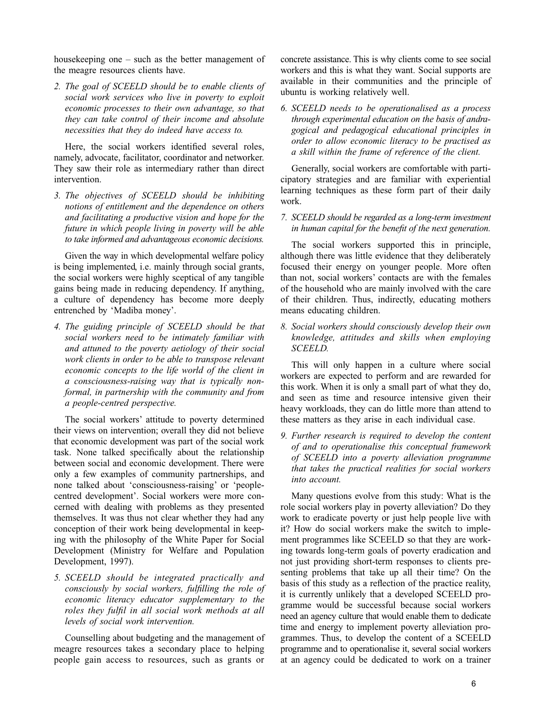housekeeping one – such as the better management of the meagre resources clients have.

*2. The goal of SCEELD should be to enable clients of social work services who live in poverty to exploit economic processes to their own advantage, so that they can take control of their income and absolute necessities that they do indeed have access to.*

Here, the social workers identified several roles, namely, advocate, facilitator, coordinator and networker. They saw their role as intermediary rather than direct intervention.

*3. The objectives of SCEELD should be inhibiting notions of entitlement and the dependence on others and facilitating a productive vision and hope for the future in which people living in poverty will be able to take informed and advantageous economic decisions.*

Given the way in which developmental welfare policy is being implemented, i.e. mainly through social grants, the social workers were highly sceptical of any tangible gains being made in reducing dependency. If anything, a culture of dependency has become more deeply entrenched by 'Madiba money'.

*4. The guiding principle of SCEELD should be that social workers need to be intimately familiar with and attuned to the poverty aetiology of their social work clients in order to be able to transpose relevant economic concepts to the life world of the client in a consciousness-raising way that is typically nonformal, in partnership with the community and from a people-centred perspective.*

The social workers' attitude to poverty determined their views on intervention; overall they did not believe that economic development was part of the social work task. None talked specifically about the relationship between social and economic development. There were only a few examples of community partnerships, and none talked about 'consciousness-raising' or 'peoplecentred development'. Social workers were more concerned with dealing with problems as they presented themselves. It was thus not clear whether they had any conception of their work being developmental in keeping with the philosophy of the White Paper for Social Development (Ministry for Welfare and Population Development, 1997).

*5. SCEELD should be integrated practically and consciously by social workers, fulfilling the role of economic literacy educator supplementary to the roles they fulfil in all social work methods at all levels of social work intervention.*

Counselling about budgeting and the management of meagre resources takes a secondary place to helping people gain access to resources, such as grants or concrete assistance. This is why clients come to see social workers and this is what they want. Social supports are available in their communities and the principle of ubuntu is working relatively well.

*6. SCEELD needs to be operationalised as a process through experimental education on the basis of andragogical and pedagogical educational principles in order to allow economic literacy to be practised as a skill within the frame of reference of the client.*

Generally, social workers are comfortable with participatory strategies and are familiar with experiential learning techniques as these form part of their daily work.

#### *7. SCEELD should be regarded as a long-term investment in human capital for the benefit of the next generation.*

The social workers supported this in principle, although there was little evidence that they deliberately focused their energy on younger people. More often than not, social workers' contacts are with the females of the household who are mainly involved with the care of their children. Thus, indirectly, educating mothers means educating children.

*8. Social workers should consciously develop their own knowledge, attitudes and skills when employing SCEELD.*

This will only happen in a culture where social workers are expected to perform and are rewarded for this work. When it is only a small part of what they do, and seen as time and resource intensive given their heavy workloads, they can do little more than attend to these matters as they arise in each individual case.

*9. Further research is required to develop the content of and to operationalise this conceptual framework of SCEELD into a poverty alleviation programme that takes the practical realities for social workers into account.*

Many questions evolve from this study: What is the role social workers play in poverty alleviation? Do they work to eradicate poverty or just help people live with it? How do social workers make the switch to implement programmes like SCEELD so that they are working towards long-term goals of poverty eradication and not just providing short-term responses to clients presenting problems that take up all their time? On the basis of this study as a reflection of the practice reality, it is currently unlikely that a developed SCEELD programme would be successful because social workers need an agency culture that would enable them to dedicate time and energy to implement poverty alleviation programmes. Thus, to develop the content of a SCEELD programme and to operationalise it, several social workers at an agency could be dedicated to work on a trainer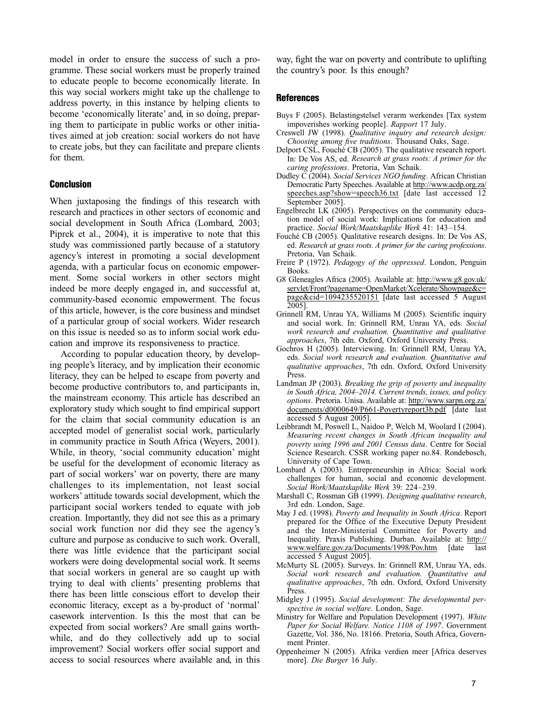model in order to ensure the success of such a programme. These social workers must be properly trained to educate people to become economically literate. In this way social workers might take up the challenge to address poverty, in this instance by helping clients to become 'economically literate' and, in so doing, preparing them to participate in public works or other initiatives aimed at job creation: social workers do not have to create jobs, but they can facilitate and prepare clients for them.

#### **Conclusion**

When juxtaposing the findings of this research with research and practices in other sectors of economic and social development in South Africa (Lombard, 2003; Piprek et al., 2004), it is imperative to note that this study was commissioned partly because of a statutory agency's interest in promoting a social development agenda, with a particular focus on economic empowerment. Some social workers in other sectors might indeed be more deeply engaged in, and successful at, community-based economic empowerment. The focus of this article, however, is the core business and mindset of a particular group of social workers. Wider research on this issue is needed so as to inform social work education and improve its responsiveness to practice.

According to popular education theory, by developing people's literacy, and by implication their economic literacy, they can be helped to escape from poverty and become productive contributors to, and participants in, the mainstream economy. This article has described an exploratory study which sought to find empirical support for the claim that social community education is an accepted model of generalist social work, particularly in community practice in South Africa (Weyers, 2001). While, in theory, 'social community education' might be useful for the development of economic literacy as part of social workers' war on poverty, there are many challenges to its implementation, not least social workers' attitude towards social development, which the participant social workers tended to equate with job creation. Importantly, they did not see this as a primary social work function nor did they see the agency's culture and purpose as conducive to such work. Overall, there was little evidence that the participant social workers were doing developmental social work. It seems that social workers in general are so caught up with trying to deal with clients' presenting problems that there has been little conscious effort to develop their economic literacy, except as a by-product of 'normal' casework intervention. Is this the most that can be expected from social workers? Are small gains worthwhile, and do they collectively add up to social improvement? Social workers offer social support and access to social resources where available and, in this way, fight the war on poverty and contribute to uplifting the country's poor. Is this enough?

#### **References**

- Buys F (2005). Belastingstelsel verarm werkendes [Tax system impoverishes working people]. *Rapport* 17 July.
- Creswell JW (1998). *Qualitative inquiry and research design: Choosing among five traditions*. Thousand Oaks, Sage.
- Delport CSL, Fouché CB (2005). The qualitative research report. In: De Vos AS, ed. *Research at grass roots: A primer for the caring professions*. Pretoria, Van Schaik.
- Dudley C (2004). *Social Services NGO funding*. African Christian Democratic Party Speeches. Available at http://www.acdp.org.za/ speeches.asp?show=speech36.txt [date last accessed 12 September 2005].
- Engelbrecht LK (2005). Perspectives on the community education model of social work: Implications for education and practice. *Social Work/Maatskaplike Werk* 41: 143–154.
- Fouché CB (2005). Qualitative research designs. In: De Vos AS, ed. *Research at grass roots. A primer for the caring professions*. Pretoria, Van Schaik.
- Freire P (1972). *Pedagogy of the oppressed*. London, Penguin Books.
- G8 Gleneagles Africa (2005). Available at: http://www.g8.gov.uk/ servlet/Front?pagename=OpenMarket/Xcelerate/Showpage&c= page&cid=1094235520151 [date last accessed 5 August 2005].
- Grinnell RM, Unrau YA, Williams M (2005). Scientific inquiry and social work. In: Grinnell RM, Unrau YA, eds. *Social work research and evaluation. Quantitative and qualitative approaches*, 7th edn. Oxford, Oxford University Press.
- Gochros H (2005). Interviewing. In: Grinnell RM, Unrau YA, eds. *Social work research and evaluation. Quantitative and qualitative approaches*, 7th edn. Oxford, Oxford University Press.
- Landman JP (2003). *Breaking the grip of poverty and inequality in South Africa, 2004–2014. Current trends, issues, and policy options*. Pretoria. Unisa. Available at: http://www.sarpn.org.za/ documents/d0000649/P661-Povertyreport3b.pdf [date last accessed 5 August 2005].
- Leibbrandt M, Poswell L, Naidoo P, Welch M, Woolard I (2004). *Measuring recent changes in South African inequality and poverty using 1996 and 2001 Census data*. Centre for Social Science Research. CSSR working paper no.84. Rondebosch, University of Cape Town.
- Lombard A (2003). Entrepreneurship in Africa: Social work challenges for human, social and economic development. *Social Work/Maatskaplike Werk* 39: 224–239.
- Marshall C, Rossman GB (1999). *Designing qualitative research*, 3rd edn. London, Sage.
- May J ed. (1998). *Poverty and Inequality in South Africa*. Report prepared for the Office of the Executive Deputy President and the Inter-Ministerial Committee for Poverty and Inequality. Praxis Publishing. Durban. Available at: http:// www.welfare.gov.za/Documents/1998/Pov.htm [date last accessed 5 August 2005].
- McMurty SL (2005). Surveys. In: Grinnell RM, Unrau YA, eds. *Social work research and evaluation. Quantitative and qualitative approaches*, 7th edn. Oxford, Oxford University Press.
- Midgley J (1995). *Social development: The developmental perspective in social welfare*. London, Sage.
- Ministry for Welfare and Population Development (1997). *White Paper for Social Welfare. Notice 1108 of 1997*. Government Gazette, Vol. 386, No. 18166. Pretoria, South Africa, Government Printer.
- Oppenheimer N (2005). Afrika verdien meer [Africa deserves more]. *Die Burger* 16 July.